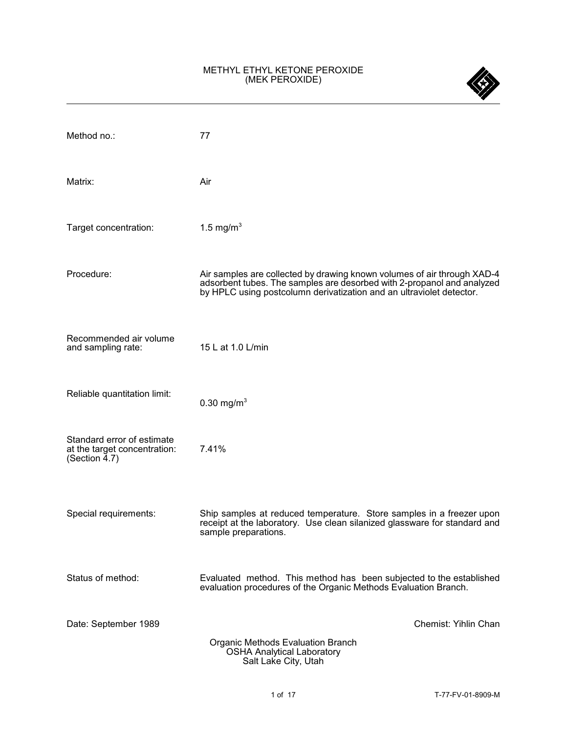## METHYL ETHYL KETONE PEROXIDE (MEK PEROXIDE)

| Method no.:                                                                    | 77                                                                                                                                                                                                                        |
|--------------------------------------------------------------------------------|---------------------------------------------------------------------------------------------------------------------------------------------------------------------------------------------------------------------------|
| Matrix:                                                                        | Air                                                                                                                                                                                                                       |
| Target concentration:                                                          | 1.5 mg/m <sup>3</sup>                                                                                                                                                                                                     |
| Procedure:                                                                     | Air samples are collected by drawing known volumes of air through XAD-4<br>adsorbent tubes. The samples are desorbed with 2-propanol and analyzed<br>by HPLC using postcolumn derivatization and an ultraviolet detector. |
| Recommended air volume<br>and sampling rate:                                   | 15 L at 1.0 L/min                                                                                                                                                                                                         |
| Reliable quantitation limit:                                                   | 0.30 mg/m <sup>3</sup>                                                                                                                                                                                                    |
| Standard error of estimate<br>at the target concentration:<br>(Section $4.7$ ) | 7.41%                                                                                                                                                                                                                     |
| Special requirements:                                                          | Ship samples at reduced temperature. Store samples in a freezer upon<br>receipt at the laboratory. Use clean silanized glassware for standard and<br>sample preparations.                                                 |
| Status of method:                                                              | Evaluated method. This method has been subjected to the established<br>evaluation procedures of the Organic Methods Evaluation Branch.                                                                                    |
| Date: September 1989                                                           | Chemist: Yihlin Chan<br>Organic Methods Evaluation Branch<br><b>OSHA Analytical Laboratory</b>                                                                                                                            |
|                                                                                | Salt Lake City, Utah                                                                                                                                                                                                      |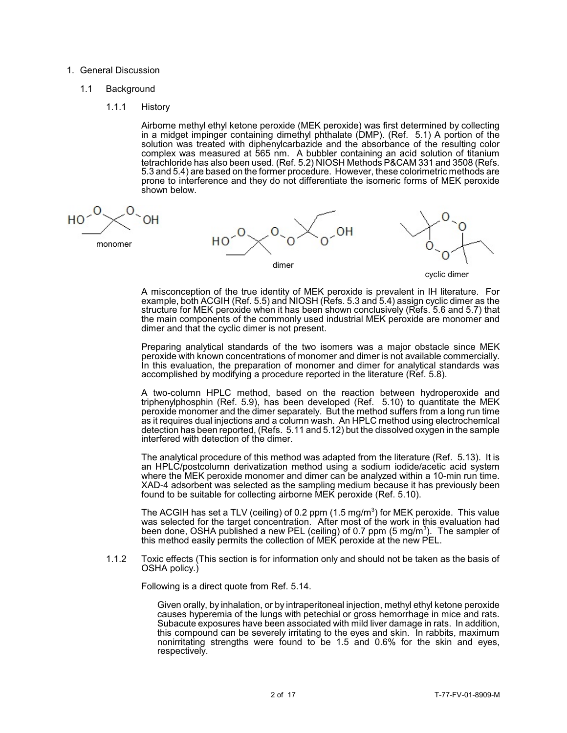### 1. General Discussion

## 1.1 Background

1.1.1 History

Airborne methyl ethyl ketone peroxide (MEK peroxide) was first determined by collecting in a midget impinger containing dimethyl phthalate (DMP). (Ref. 5.1) A portion of the solution was treated with diphenylcarbazide and the absorbance of the resulting color complex was measured at 565 nm. A bubbler containing an acid solution of titanium tetrachloride has also been used. (Ref. 5.2) NIOSH Methods P&CAM 331 and 3508 (Refs. 5.3 and 5.4) are based on the former procedure. However, these colorimetric methods are prone to interference and they do not differentiate the isomeric forms of MEK peroxide shown below.

monomer





cyclic dimer

A misconception of the true identity of MEK peroxide is prevalent in IH literature. For example, both ACGIH (Ref. 5.5) and NIOSH (Refs. 5.3 and 5.4) assign cyclic dimer as the structure for MEK peroxide when it has been shown conclusively (Refs. 5.6 and 5.7) that the main components of the commonly used industrial MEK peroxide are monomer and dimer and that the cyclic dimer is not present.

Preparing analytical standards of the two isomers was a major obstacle since MEK peroxide with known concentrations of monomer and dimer is not available commercially. In this evaluation, the preparation of monomer and dimer for analytical standards was accomplished by modifying a procedure reported in the literature (Ref. 5.8).

A two-column HPLC method, based on the reaction between hydroperoxide and triphenylphosphin (Ref. 5.9), has been developed (Ref. 5.10) to quantitate the MEK peroxide monomer and the dimer separately. But the method suffers from a long run time as it requires dual injections and a column wash. An HPLC method using electrochemlcal detection has been reported, (Refs. 5.11 and 5.12) but the dissolved oxygen in the sample interfered with detection of the dimer.

The analytical procedure of this method was adapted from the literature (Ref. 5.13). It is an HPLC/postcolumn derivatization method using a sodium iodide/acetic acid system where the MEK peroxide monomer and dimer can be analyzed within a 10-min run time. XAD-4 adsorbent was selected as the sampling medium because it has previously been found to be suitable for collecting airborne MEK peroxide (Ref. 5.10).

The ACGIH has set a TLV (ceiling) of 0.2 ppm (1.5 mg/m<sup>3</sup>) for MEK peroxide. This value was selected for the target concentration. After most of the work in this evaluation had been done, OSHA published a new PEL (ceiling) of 0.7 ppm (5 mg/m<sup>3</sup>). The sampler of this method easily permits the collection of MEK peroxide at the new PEL.

1.1.2 Toxic effects (This section is for information only and should not be taken as the basis of OSHA policy.)

Following is a direct quote from Ref. 5.14.

Given orally, by inhalation, or by intraperitoneal injection, methyl ethyl ketone peroxide causes hyperemia of the lungs with petechial or gross hemorrhage in mice and rats. Subacute exposures have been associated with mild liver damage in rats. In addition, this compound can be severely irritating to the eyes and skin. In rabbits, maximum nonirritating strengths were found to be 1.5 and 0.6% for the skin and eyes, respectively.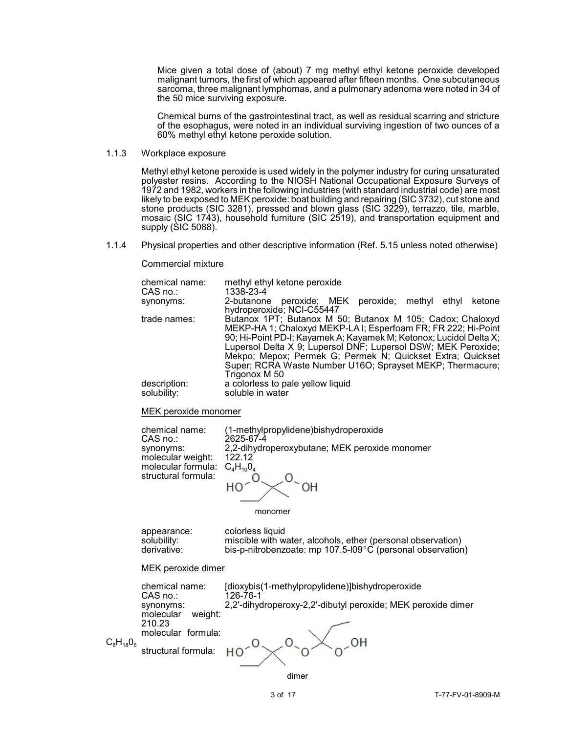Mice given a total dose of (about) 7 mg methyl ethyl ketone peroxide developed malignant tumors, the first of which appeared after fifteen months. One subcutaneous sarcoma, three malignant lymphomas, and a pulmonary adenoma were noted in 34 of the 50 mice surviving exposure.

Chemical burns of the gastrointestinal tract, as well as residual scarring and stricture of the esophagus, were noted in an individual surviving ingestion of two ounces of a 60% methyl ethyl ketone peroxide solution.

# 1.1.3 Workplace exposure

Methyl ethyl ketone peroxide is used widely in the polymer industry for curing unsaturated polyester resins. According to the NIOSH National Occupational Exposure Surveys of 1972 and 1982, workers in the following industries (with standard industrial code) are most likely to be exposed to MEK peroxide: boat building and repairing (SIC 3732), cut stone and stone products (SIC 3281), pressed and blown glass (SIC 3229), terrazzo, tile, marble, mosaic (SIC 1743), household furniture (SIC 2519), and transportation equipment and supply (SIC 5088).

1.1.4 Physical properties and other descriptive information (Ref. 5.15 unless noted otherwise)

#### Commercial mixture

| chemical name: | methyl ethyl ketone peroxide                                                                                                                                                                                                                                                                                                                                                                                  |
|----------------|---------------------------------------------------------------------------------------------------------------------------------------------------------------------------------------------------------------------------------------------------------------------------------------------------------------------------------------------------------------------------------------------------------------|
| CAS no.:       | 1338-23-4                                                                                                                                                                                                                                                                                                                                                                                                     |
| synonyms:      | peroxide; MEK peroxide; methyl<br>ethyl<br>ketone<br>2-butanone<br>hydroperoxide; NCI-C55447                                                                                                                                                                                                                                                                                                                  |
| trade names:   | Butanox 1PT; Butanox M 50; Butanox M 105; Cadox; Chaloxyd<br>MEKP-HA 1; Chaloxyd MEKP-LA I; Esperfoam FR; FR 222; Hi-Point<br>90; Hi-Point PD-I; Kayamek A; Kayamek M; Ketonox; Lucidol Delta X;<br>Lupersol Delta X 9; Lupersol DNF; Lupersol DSW; MEK Peroxide;<br>Mekpo; Mepox; Permek G; Permek N; Quickset Extra; Quickset<br>Super; RCRA Waste Number U16O; Sprayset MEKP; Thermacure;<br>Trigonox M 50 |
| description:   | a colorless to pale yellow liquid                                                                                                                                                                                                                                                                                                                                                                             |
| solubility:    | soluble in water                                                                                                                                                                                                                                                                                                                                                                                              |

MEK peroxide monomer

| chemical name:                    | (1-methylpropylidene) bishydroperoxide        |
|-----------------------------------|-----------------------------------------------|
| $CAS$ no.:                        | 2625-67-4                                     |
| synonyms:                         | 2,2-dihydroperoxybutane; MEK peroxide monomer |
| molecular weight:                 | 122 12                                        |
| molecular formula: $C_4H_{10}O_4$ |                                               |
| structural formula:               |                                               |
|                                   |                                               |
|                                   |                                               |
|                                   |                                               |

monomer

appearance: colorless liquid<br>solubility: miscible with w solubility: miscible with water, alcohols, ether (personal observation)<br>derivative: bis-p-nitrobenzoate: mp 107.5-l09°C (personal observation bis-p-nitrobenzoate: mp 107.5-l09 $^{\circ}$ C (personal observation)

### MEK peroxide dimer

|                | chemical name:<br>CAS no.:        | [dioxybis(1-methylpropylidene)]bishydroperoxide<br>126-76-1  |
|----------------|-----------------------------------|--------------------------------------------------------------|
|                | synonyms:<br>weight:<br>molecular | 2,2'-dihydroperoxy-2,2'-dibutyl peroxide; MEK peroxide dimer |
|                | 210.23<br>molecular formula:      |                                                              |
| $C_8H_{18}O_6$ | structural formula:               |                                                              |

dimer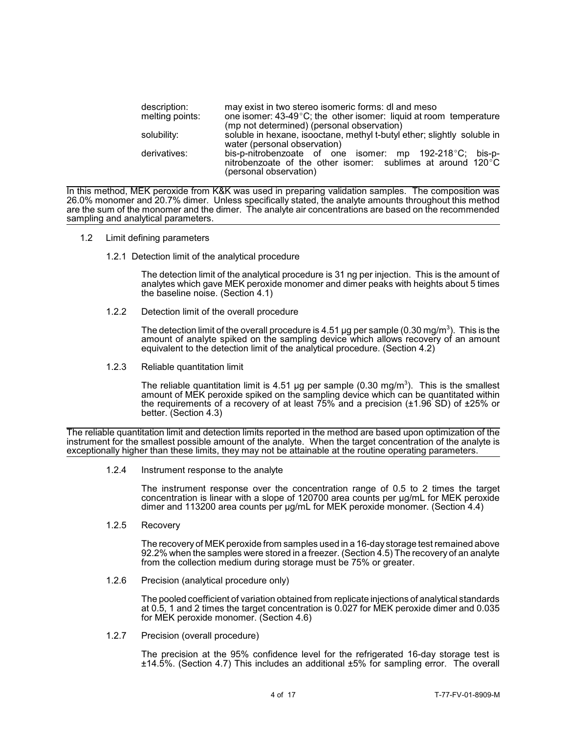| description:    | may exist in two stereo isomeric forms: dl and meso                                                                                                                 |  |  |  |  |  |
|-----------------|---------------------------------------------------------------------------------------------------------------------------------------------------------------------|--|--|--|--|--|
| melting points: | one isomer: $43-49^{\circ}$ C; the other isomer: liquid at room temperature                                                                                         |  |  |  |  |  |
|                 | (mp not determined) (personal observation)                                                                                                                          |  |  |  |  |  |
| solubility:     | soluble in hexane, isooctane, methyl t-butyl ether; slightly soluble in<br>water (personal observation)                                                             |  |  |  |  |  |
| derivatives:    | bis-p-nitrobenzoate of one isomer: mp 192-218°C; bis-p-<br>nitrobenzoate of the other isomer: sublimes at around 120 $\mathrm{^{\circ}C}$<br>(personal observation) |  |  |  |  |  |

In this method, MEK peroxide from K&K was used in preparing validation samples. The composition was 26.0% monomer and 20.7% dimer. Unless specifically stated, the analyte amounts throughout this method are the sum of the monomer and the dimer. The analyte air concentrations are based on the recommended sampling and analytical parameters.

- 1.2 Limit defining parameters
	- 1.2.1 Detection limit of the analytical procedure

The detection limit of the analytical procedure is 31 ng per injection. This is the amount of analytes which gave MEK peroxide monomer and dimer peaks with heights about 5 times the baseline noise. (Section 4.1)

1.2.2 Detection limit of the overall procedure

The detection limit of the overall procedure is 4.51 µg per sample (0.30 mg/m<sup>3</sup>). This is the amount of analyte spiked on the sampling device which allows recovery of an amount equivalent to the detection limit of the analytical procedure. (Section 4.2)

1.2.3 Reliable quantitation limit

The reliable quantitation limit is 4.51 µg per sample (0.30 mg/m<sup>3</sup>). This is the smallest amount of MEK peroxide spiked on the sampling device which can be quantitated within the requirements of a recovery of at least 75% and a precision (±1.96 SD) of ±25% or better. (Section 4.3)

The reliable quantitation limit and detection limits reported in the method are based upon optimization of the instrument for the smallest possible amount of the analyte. When the target concentration of the analyte is exceptionally higher than these limits, they may not be attainable at the routine operating parameters.

1.2.4 Instrument response to the analyte

The instrument response over the concentration range of 0.5 to 2 times the target concentration is linear with a slope of 120700 area counts per µg/mL for MEK peroxide dimer and 113200 area counts per µg/mL for MEK peroxide monomer. (Section 4.4)

1.2.5 Recovery

The recovery of MEK peroxide from samples used in a 16-day storage test remained above 92.2% when the samples were stored in a freezer. (Section 4.5) The recovery of an analyte from the collection medium during storage must be 75% or greater.

1.2.6 Precision (analytical procedure only)

The pooled coefficient of variation obtained from replicate injections of analytical standards at 0.5, 1 and 2 times the target concentration is 0.027 for MEK peroxide dimer and 0.035 for MEK peroxide monomer. (Section 4.6)

1.2.7 Precision (overall procedure)

The precision at the 95% confidence level for the refrigerated 16-day storage test is ±14.5%. (Section 4.7) This includes an additional ±5% for sampling error. The overall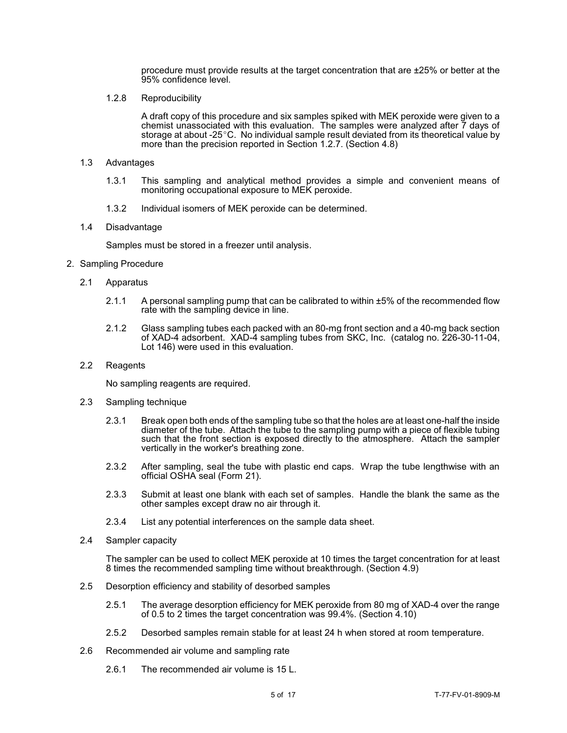procedure must provide results at the target concentration that are  $\pm 25\%$  or better at the 95% confidence level.

1.2.8 Reproducibility

A draft copy of this procedure and six samples spiked with MEK peroxide were given to a chemist unassociated with this evaluation. The samples were analyzed after 7 days of storage at about -25 $^{\circ}$ C. No individual sample result deviated from its theoretical value by more than the precision reported in Section 1.2.7. (Section 4.8)

- 1.3 Advantages
	- 1.3.1 This sampling and analytical method provides a simple and convenient means of monitoring occupational exposure to MEK peroxide.
	- 1.3.2 Individual isomers of MEK peroxide can be determined.
- 1.4 Disadvantage

Samples must be stored in a freezer until analysis.

- 2. Sampling Procedure
	- 2.1 Apparatus
		- 2.1.1 A personal sampling pump that can be calibrated to within ±5% of the recommended flow rate with the sampling device in line.
		- 2.1.2 Glass sampling tubes each packed with an 80-mg front section and a 40-mg back section of XAD-4 adsorbent. XAD-4 sampling tubes from SKC, Inc. (catalog no. 226-30-11-04, Lot 146) were used in this evaluation.
	- 2.2 Reagents

No sampling reagents are required.

- 2.3 Sampling technique
	- 2.3.1 Break open both ends of the sampling tube so that the holes are at least one-half the inside diameter of the tube. Attach the tube to the sampling pump with a piece of flexible tubing such that the front section is exposed directly to the atmosphere. Attach the sampler vertically in the worker's breathing zone.
	- 2.3.2 After sampling, seal the tube with plastic end caps. Wrap the tube lengthwise with an official OSHA seal (Form 21).
	- 2.3.3 Submit at least one blank with each set of samples. Handle the blank the same as the other samples except draw no air through it.
	- 2.3.4 List any potential interferences on the sample data sheet.
- 2.4 Sampler capacity

The sampler can be used to collect MEK peroxide at 10 times the target concentration for at least 8 times the recommended sampling time without breakthrough. (Section 4.9)

- 2.5 Desorption efficiency and stability of desorbed samples
	- 2.5.1 The average desorption efficiency for MEK peroxide from 80 mg of XAD-4 over the range of 0.5 to 2 times the target concentration was 99.4%. (Section 4.10)
	- 2.5.2 Desorbed samples remain stable for at least 24 h when stored at room temperature.
- 2.6 Recommended air volume and sampling rate
	- 2.6.1 The recommended air volume is 15 L.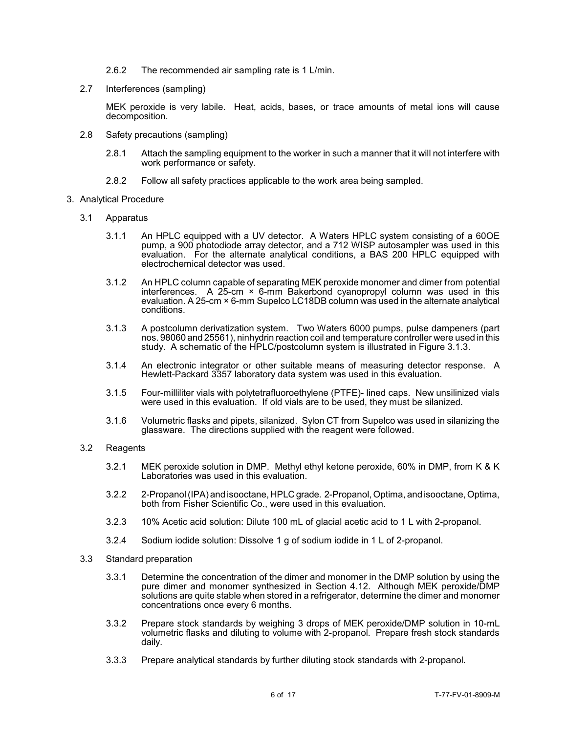- 2.6.2 The recommended air sampling rate is 1 L/min.
- 2.7 Interferences (sampling)

MEK peroxide is very labile. Heat, acids, bases, or trace amounts of metal ions will cause decomposition.

- 2.8 Safety precautions (sampling)
	- 2.8.1 Attach the sampling equipment to the worker in such a manner that it will not interfere with work performance or safety.
	- 2.8.2 Follow all safety practices applicable to the work area being sampled.
- 3. Analytical Procedure
	- 3.1 Apparatus
		- 3.1.1 An HPLC equipped with a UV detector. A Waters HPLC system consisting of a 60OE pump, a 900 photodiode array detector, and a 712 WISP autosampler was used in this evaluation. For the alternate analytical conditions, a BAS 200 HPLC equipped with electrochemical detector was used.
		- 3.1.2 An HPLC column capable of separating MEK peroxide monomer and dimer from potential interferences. A  $25$ -cm  $\times$  6-mm Bakerbond cyanopropyl column was used in this evaluation. A 25-cm × 6-mm Supelco LC18DB column was used in the alternate analytical conditions.
		- 3.1.3 A postcolumn derivatization system. Two Waters 6000 pumps, pulse dampeners (part nos. 98060 and 25561), ninhydrin reaction coil and temperature controller were used in this study. A schematic of the HPLC/postcolumn system is illustrated in Figure 3.1.3.
		- 3.1.4 An electronic integrator or other suitable means of measuring detector response. A Hewlett-Packard 3357 laboratory data system was used in this evaluation.
		- 3.1.5 Four-milliliter vials with polytetrafluoroethylene (PTFE)- lined caps. New unsilinized vials were used in this evaluation. If old vials are to be used, they must be silanized.
		- 3.1.6 Volumetric flasks and pipets, silanized. Sylon CT from Supelco was used in silanizing the glassware. The directions supplied with the reagent were followed.
	- 3.2 Reagents
		- 3.2.1 MEK peroxide solution in DMP. Methyl ethyl ketone peroxide, 60% in DMP, from K & K Laboratories was used in this evaluation.
		- 3.2.2 2-Propanol(IPA) and isooctane, HPLC grade. 2-Propanol, Optima, and isooctane, Optima, both from Fisher Scientific Co., were used in this evaluation.
		- 3.2.3 10% Acetic acid solution: Dilute 100 mL of glacial acetic acid to 1 L with 2-propanol.
		- 3.2.4 Sodium iodide solution: Dissolve 1 g of sodium iodide in 1 L of 2-propanol.
	- 3.3 Standard preparation
		- 3.3.1 Determine the concentration of the dimer and monomer in the DMP solution by using the pure dimer and monomer synthesized in Section 4.12. Although MEK peroxide/DMP solutions are quite stable when stored in a refrigerator, determine the dimer and monomer concentrations once every 6 months.
		- 3.3.2 Prepare stock standards by weighing 3 drops of MEK peroxide/DMP solution in 10-mL volumetric flasks and diluting to volume with 2-propanol. Prepare fresh stock standards daily.
		- 3.3.3 Prepare analytical standards by further diluting stock standards with 2-propanol.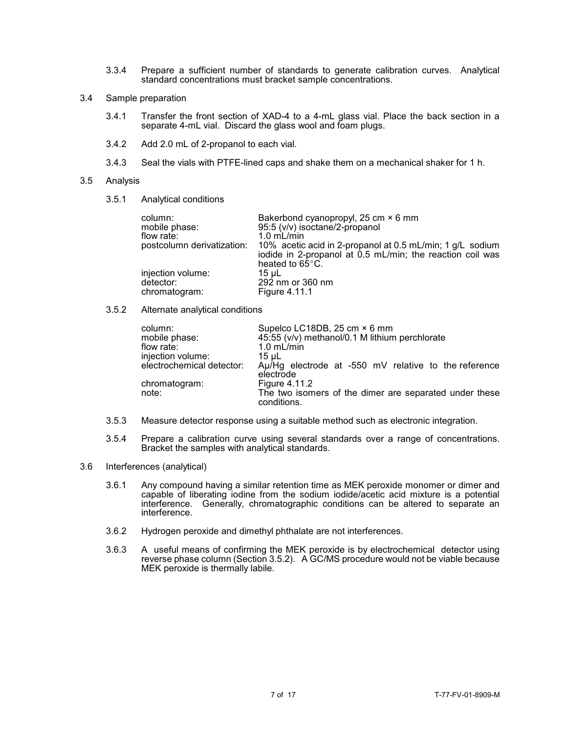- 3.3.4 Prepare a sufficient number of standards to generate calibration curves. Analytical standard concentrations must bracket sample concentrations.
- 3.4 Sample preparation
	- 3.4.1 Transfer the front section of XAD-4 to a 4-mL glass vial. Place the back section in a separate 4-mL vial. Discard the glass wool and foam plugs.
	- 3.4.2 Add 2.0 mL of 2-propanol to each vial.
	- 3.4.3 Seal the vials with PTFE-lined caps and shake them on a mechanical shaker for 1 h.

#### 3.5 Analysis

3.5.1 Analytical conditions

| column:<br>mobile phase:<br>flow rate:<br>postcolumn derivatization: | Bakerbond cyanopropyl, 25 cm × 6 mm<br>95:5 (v/v) isoctane/2-propanol<br>$1.0$ mL/min<br>10% acetic acid in 2-propanol at 0.5 mL/min; 1 g/L sodium<br>iodide in 2-propanol at 0.5 mL/min; the reaction coil was<br>heated to 65°C. |
|----------------------------------------------------------------------|------------------------------------------------------------------------------------------------------------------------------------------------------------------------------------------------------------------------------------|
| injection volume:                                                    | 15 uL                                                                                                                                                                                                                              |
| detector:                                                            | 292 nm or 360 nm                                                                                                                                                                                                                   |
| chromatogram:                                                        | Figure 4.11.1                                                                                                                                                                                                                      |

3.5.2 Alternate analytical conditions

| column:<br>mobile phase:  | Supelco LC18DB, 25 cm × 6 mm<br>45:55 (v/v) methanol/0.1 M lithium perchlorate |
|---------------------------|--------------------------------------------------------------------------------|
| flow rate:                | $1.0$ mL/min                                                                   |
| injection volume:         | 15 uL                                                                          |
| electrochemical detector: | Au/Hg electrode at -550 mV relative to the reference<br>electrode              |
| chromatogram:             | <b>Figure 4.11.2</b>                                                           |
| note:                     | The two isomers of the dimer are separated under these<br>conditions.          |

- 3.5.3 Measure detector response using a suitable method such as electronic integration.
- 3.5.4 Prepare a calibration curve using several standards over a range of concentrations. Bracket the samples with analytical standards.
- 3.6 Interferences (analytical)
	- 3.6.1 Any compound having a similar retention time as MEK peroxide monomer or dimer and capable of liberating iodine from the sodium iodide/acetic acid mixture is a potential interference. Generally, chromatographic conditions can be altered to separate an interference.
	- 3.6.2 Hydrogen peroxide and dimethyl phthalate are not interferences.
	- 3.6.3 A useful means of confirming the MEK peroxide is by electrochemical detector using reverse phase column (Section 3.5.2). A GC/MS procedure would not be viable because MEK peroxide is thermally labile.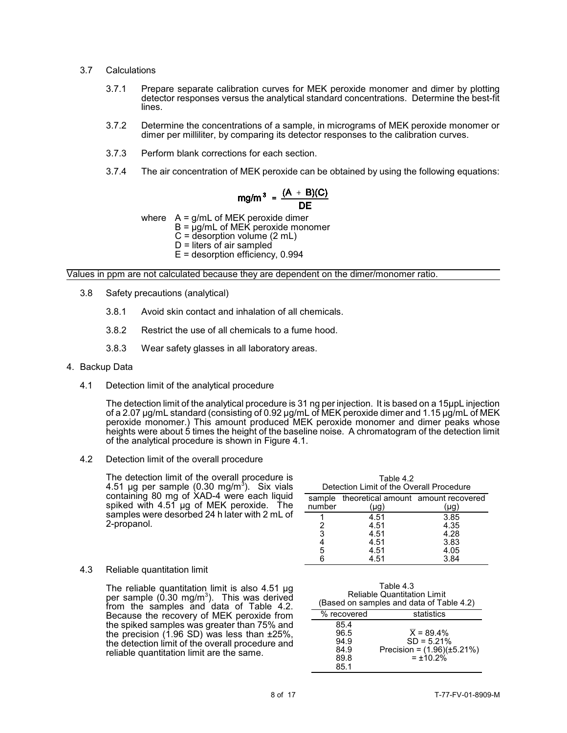- 3.7 Calculations
	- 3.7.1 Prepare separate calibration curves for MEK peroxide monomer and dimer by plotting detector responses versus the analytical standard concentrations. Determine the best-fit lines.
	- 3.7.2 Determine the concentrations of a sample, in micrograms of MEK peroxide monomer or dimer per milliliter, by comparing its detector responses to the calibration curves.
	- 3.7.3 Perform blank corrections for each section.
	- 3.7.4 The air concentration of MEK peroxide can be obtained by using the following equations:

$$
mg/m^3 = \frac{(A + B)(C)}{DE}
$$

where  $A = q/mL$  of MEK peroxide dimer

- $B = \mu g/mL$  of MEK peroxide monomer
- $C =$  desorption volume  $(2 \text{ mL})$
- $D =$  liters of air sampled
- E = desorption efficiency, 0.994

## Values in ppm are not calculated because they are dependent on the dimer/monomer ratio.

- 3.8 Safety precautions (analytical)
	- 3.8.1 Avoid skin contact and inhalation of all chemicals.
	- 3.8.2 Restrict the use of all chemicals to a fume hood.
	- 3.8.3 Wear safety glasses in all laboratory areas.

## 4. Backup Data

4.1 Detection limit of the analytical procedure

The detection limit of the analytical procedure is 31 ng per injection. It is based on a 15µpL injection of a 2.07 µg/mL standard (consisting of 0.92 µg/mL of MEK peroxide dimer and 1.15 µg/mL of MEK peroxide monomer.) This amount produced MEK peroxide monomer and dimer peaks whose heights were about 5 times the height of the baseline noise. A chromatogram of the detection limit of the analytical procedure is shown in Figure 4.1.

4.2 Detection limit of the overall procedure

The detection limit of the overall procedure is 4.51 µg per sample (0.30 mg/m<sup>3</sup>). Six vials containing 80 mg of XAD-4 were each liquid spiked with 4.51 µg of MEK peroxide. The samples were desorbed 24 h later with 2 mL of 2-propanol.

| Table 4.2<br>Detection Limit of the Overall Procedure |                                             |              |  |  |  |
|-------------------------------------------------------|---------------------------------------------|--------------|--|--|--|
| sample<br>number                                      | theoretical amount amount recovered<br>(µg) | (µg)         |  |  |  |
|                                                       | 4.51                                        | 3.85         |  |  |  |
| 2<br>3                                                | 4.51<br>4.51                                | 4.35<br>4.28 |  |  |  |
|                                                       | 4.51                                        | 3.83         |  |  |  |
| 5                                                     | 4.51<br>4.51                                | 4.05<br>3.84 |  |  |  |

 $\pm$   $\pm$   $\pm$ 

## 4.3 Reliable quantitation limit

The reliable quantitation limit is also 4.51 µg per sample (0.30 mg/m<sup>3</sup>). This was derived from the samples and data of Table 4.2. Because the recovery of MEK peroxide from the spiked samples was greater than 75% and the precision (1.96 SD) was less than ±25%, the detection limit of the overall procedure and reliable quantitation limit are the same.

| Table 4.3<br><b>Reliable Quantitation Limit</b><br>(Based on samples and data of Table 4.2) |                                                                                           |  |  |  |
|---------------------------------------------------------------------------------------------|-------------------------------------------------------------------------------------------|--|--|--|
| statistics<br>% recovered                                                                   |                                                                                           |  |  |  |
| 85.4<br>96.5<br>94.9<br>84.9<br>89.8<br>85.1                                                | $\overline{X} = 89.4\%$<br>$SD = 5.21%$<br>Precision = $(1.96)(\pm 5.21\%)$<br>$= +10.2%$ |  |  |  |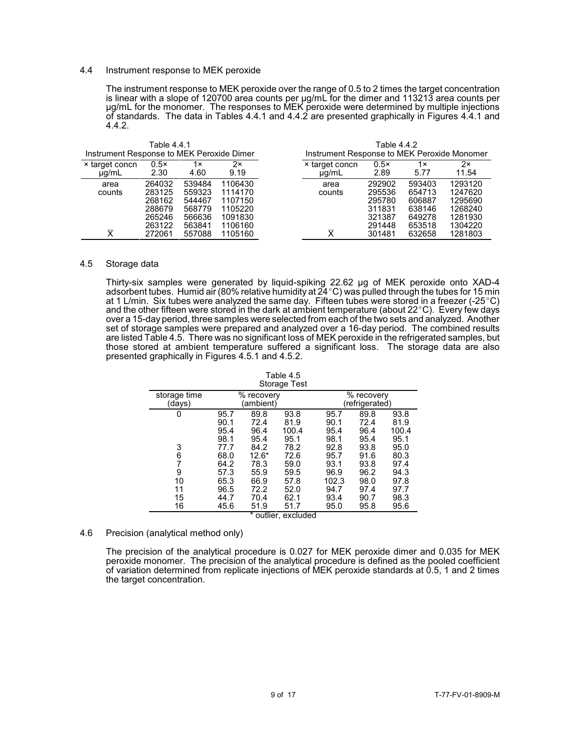## 4.4 Instrument response to MEK peroxide

The instrument response to MEK peroxide over the range of 0.5 to 2 times the target concentration is linear with a slope of 120700 area counts per µg/mL for the dimer and 113213 area counts per µg/mL for the monomer. The responses to MEK peroxide were determined by multiple injections of standards. The data in Tables 4.4.1 and 4.4.2 are presented graphically in Figures 4.4.1 and 4.4.2.

| Instrument Response to MEK Peroxide Dimer | Table 4.4.1                                                        |                                                                    |                                                                           | Instrument Response to MEK Peroxide Monomer | Table 4.4.2                                                        |                                                                    |                                                                           |
|-------------------------------------------|--------------------------------------------------------------------|--------------------------------------------------------------------|---------------------------------------------------------------------------|---------------------------------------------|--------------------------------------------------------------------|--------------------------------------------------------------------|---------------------------------------------------------------------------|
| × target concn<br>$\mu$ g/mL              | $0.5\times$<br>2.30                                                | $1 \times$<br>4.60                                                 | 2x<br>9.19                                                                | × target concn<br>$\mu$ g/mL                | $0.5\times$<br>2.89                                                | 1×<br>5.77                                                         | 2x<br>11.54                                                               |
| area<br>counts<br>$\overline{\mathsf{x}}$ | 264032<br>283125<br>268162<br>288679<br>265246<br>263122<br>272061 | 539484<br>559323<br>544467<br>568779<br>566636<br>563841<br>557088 | 1106430<br>1114170<br>1107150<br>1105220<br>1091830<br>1106160<br>1105160 | area<br>counts<br>$\overline{\mathsf{x}}$   | 292902<br>295536<br>295780<br>311831<br>321387<br>291448<br>301481 | 593403<br>654713<br>606887<br>638146<br>649278<br>653518<br>632658 | 1293120<br>1247620<br>1295690<br>1268240<br>1281930<br>1304220<br>1281803 |

# 4.5 Storage data

Thirty-six samples were generated by liquid-spiking 22.62 µg of MEK peroxide onto XAD-4 adsorbent tubes. Humid air (80% relative humidity at  $24^{\circ}$ C) was pulled through the tubes for 15 min at 1 L/min. Six tubes were analyzed the same day. Fifteen tubes were stored in a freezer (-25 $^{\circ}$ C) and the other fifteen were stored in the dark at ambient temperature (about  $22^{\circ}$ C). Every few days over a 15-day period, three samples were selected from each of the two sets and analyzed. Another set of storage samples were prepared and analyzed over a 16-day period. The combined results are listed Table 4.5. There was no significant loss of MEK peroxide in the refrigerated samples, but those stored at ambient temperature suffered a significant loss. The storage data are also presented graphically in Figures 4.5.1 and 4.5.2.

| Storage Test                       |                                                      |                                                         |                                                      |                                                       |                                                      |                                                      |  |
|------------------------------------|------------------------------------------------------|---------------------------------------------------------|------------------------------------------------------|-------------------------------------------------------|------------------------------------------------------|------------------------------------------------------|--|
| storage time<br>(days)             |                                                      | $\overline{\%}$ recovery<br>(ambient)                   |                                                      | % recovery<br>(refrigerated)                          |                                                      |                                                      |  |
| 0                                  | 95.7<br>90.1<br>95.4<br>98.1                         | 89.8<br>72.4<br>96.4<br>95.4                            | 93.8<br>81.9<br>100.4<br>95.1                        | 95.7<br>90.1<br>95.4<br>98.1                          | 89.8<br>72.4<br>96.4<br>95.4                         | 93.8<br>81.9<br>100.4<br>95.1                        |  |
| 3<br>6<br>7<br>9<br>10<br>11<br>15 | 77.7<br>68.0<br>64.2<br>57.3<br>65.3<br>96.5<br>44.7 | 84.2<br>$12.6*$<br>78.3<br>55.9<br>66.9<br>72.2<br>70.4 | 78.2<br>72.6<br>59.0<br>59.5<br>57.8<br>52.0<br>62.1 | 92.8<br>95.7<br>93.1<br>96.9<br>102.3<br>94.7<br>93.4 | 93.8<br>91.6<br>93.8<br>96.2<br>98.0<br>97.4<br>90.7 | 95.0<br>80.3<br>97.4<br>94.3<br>97.8<br>97.7<br>98.3 |  |
| 16                                 | 45.6                                                 | 51.9                                                    | 51.7<br>* outlier, excluded                          | 95.0                                                  | 95.8                                                 | 95.6                                                 |  |

Table 4.5

#### 4.6 Precision (analytical method only)

The precision of the analytical procedure is 0.027 for MEK peroxide dimer and 0.035 for MEK peroxide monomer. The precision of the analytical procedure is defined as the pooled coefficient of variation determined from replicate injections of MEK peroxide standards at 0.5, 1 and 2 times the target concentration.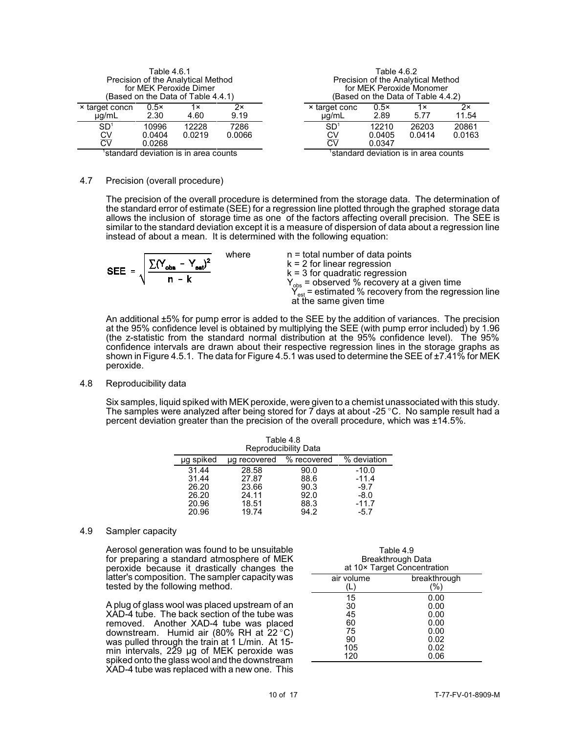| Table 4.6.1<br>Precision of the Analytical Method<br>for MEK Peroxide Dimer<br>(Based on the Data of Table 4.4.1) |                           |                 | Table 4.6.2<br>Precision of the Analytical Method<br>for MEK Peroxide Monomer<br>(Based on the Data of Table 4.4.2) |                             |                                       |                 |                 |
|-------------------------------------------------------------------------------------------------------------------|---------------------------|-----------------|---------------------------------------------------------------------------------------------------------------------|-----------------------------|---------------------------------------|-----------------|-----------------|
| × target concn<br>$\mu$ g/mL                                                                                      | $0.5\times$<br>2.30       | 1×<br>4.60      | 2×<br>9.19                                                                                                          | × target conc<br>$\mu q/mL$ | 0.5x<br>2.89                          | 1×<br>5.77      | 2x<br>11.54     |
| SD <sup>1</sup><br>CV<br>ΣV                                                                                       | 10996<br>0.0404<br>0.0268 | 12228<br>0.0219 | 7286<br>0.0066                                                                                                      | SD <sup>1</sup><br>СV<br>ΣV | 12210<br>0.0405<br>0.0347             | 26203<br>0.0414 | 20861<br>0.0163 |
| standard deviation is in area counts                                                                              |                           |                 |                                                                                                                     |                             | 'standard deviation is in area counts |                 |                 |

#### 4.7 Precision (overall procedure)

The precision of the overall procedure is determined from the storage data. The determination of the standard error of estimate (SEE) for a regression line plotted through the graphed storage data allows the inclusion of storage time as one of the factors affecting overall precision. The SEE is similar to the standard deviation except it is a measure of dispersion of data about a regression line instead of about a mean. It is determined with the following equation:

**SEE** = 
$$
\sqrt{\frac{\sum (Y_{obs} - Y_{est})^2}{n - k}}
$$
 where  $k = 2$  for linear regression  $k = 3$  for quadratic regression  $Y_{obs} = \text{observed}$  % recovery at a given time  $Y_{est} = \text{estimated}$  % recovery from the regression line at the same given time

\n**EXECUTE:**

\n**EXECUTE:**

\n**EXECUTE:**

\n**EXECUTE:**

\n**EXECUTE:**

\n**EXECUTE:**

\n**EXECUTE:**

\n**EXECUTE:**

\n**EXECUTE:**

\n**EXECUTE:**

\n**EXECUTE:**

\n**EXECUTE:**

\n**EXECUTE:**

\n**EXECUTE:**

\n**EXECUTE:**

\n**EXECUTE:**

\n**EXECUTE:**

\n**EXECUTE:**

\n**EXECUTE:**

\n**EXECUTE:**

\n**EXECUTE:**

\n**EXECUTE:**

\n**EXECUTE:**

\n**EXECUTE:**

\n**EXECUTE:**

\n**EXECUTE:**

\n**EXECUTE:**

\n**EXECUTE:**

\n**EXECUTE:**

\n**EXECUTE:**

\n**EXECUTE:**

\n**EXECUTE:**

\n**EXECUTE:**

\n**EXECUTE:**

\n**EXECUTE:**

\n**EXECUTE:**

\n**EXECUTE:**

\n**EXECUTE:**

\n**EXECUTE:**

\n**EXECUTE:**

\n**EXECUTE:**

\n**EXECUTE:**

\n**EXECUTE:**

\n**EXECUTE:**

\n**EXECUTE:**

\n**EXECUTE:**

\n**EXECUTE:**

\n**EXECUTE:**

\n**EXECUTE:**

\n**EXECUTE:**

\n**EXECUTE:**

\n**EXECUTE:**

\n**EXECUTE:**

\

An additional ±5% for pump error is added to the SEE by the addition of variances. The precision at the 95% confidence level is obtained by multiplying the SEE (with pump error included) by 1.96 (the z-statistic from the standard normal distribution at the 95% confidence level). The 95% confidence intervals are drawn about their respective regression lines in the storage graphs as shown in Figure 4.5.1. The data for Figure 4.5.1 was used to determine the SEE of ±7.41% for MEK peroxide.

### 4.8 Reproducibility data

Six samples, liquid spiked with MEK peroxide, were given to a chemist unassociated with this study. The samples were analyzed after being stored for  $\vec{\tau}$  days at about -25 °C. No sample result had a percent deviation greater than the precision of the overall procedure, which was ±14.5%.

| Table 4.8<br>Reproducibility Data |              |             |             |  |
|-----------------------------------|--------------|-------------|-------------|--|
| µg spiked                         | ug recovered | % recovered | % deviation |  |
| 31.44                             | 28.58        | 90.0        | $-10.0$     |  |
| 31.44                             | 27.87        | 88.6        | $-11.4$     |  |
| 26.20                             | 23.66        | 90.3        | $-9.7$      |  |
| 26.20                             | 24.11        | 92.0        | $-8.0$      |  |
| 20.96                             | 18.51        | 88.3        | $-11.7$     |  |
| 20.96                             | 19.74        | 94.2        | $-5.7$      |  |

### 4.9 Sampler capacity

Aerosol generation was found to be unsuitable for preparing a standard atmosphere of MEK peroxide because it drastically changes the latter's composition. The sampler capacity was tested by the following method.

A plug of glass wool was placed upstream of an XAD-4 tube. The back section of the tube was removed. Another XAD-4 tube was placed downstream. Humid air (80% RH at  $22^{\circ}$ C) was pulled through the train at 1 L/min. At 15 min intervals, 229 µg of MEK peroxide was spiked onto the glass wool and the downstream XAD-4 tube was replaced with a new one. This

| Table 4.9<br>Breakthrough Data<br>at 10x Target Concentration |                                                              |  |
|---------------------------------------------------------------|--------------------------------------------------------------|--|
| air volume                                                    | breakthrough<br>(%)                                          |  |
| 15<br>30<br>45<br>60<br>75<br>90<br>105<br>120                | 0.00<br>0.00<br>0.00<br>0.00<br>0.00<br>0.02<br>0.02<br>0.06 |  |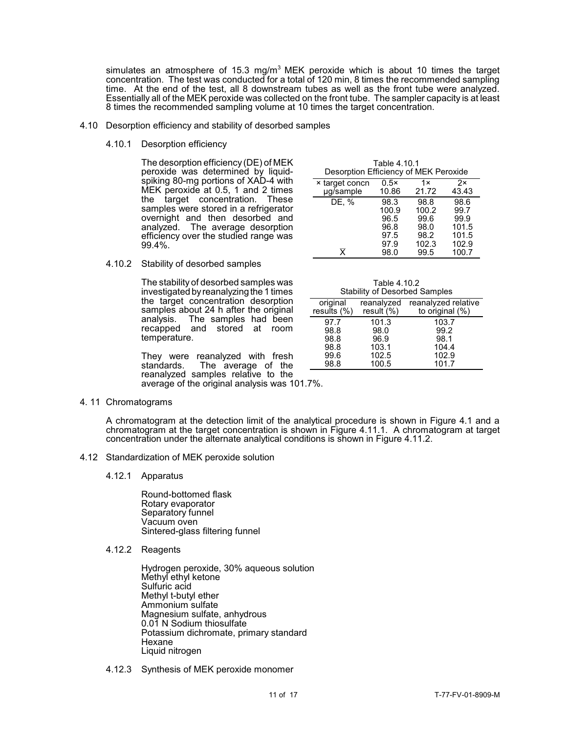simulates an atmosphere of 15.3 mg/m<sup>3</sup> MEK peroxide which is about 10 times the target concentration. The test was conducted for a total of 120 min, 8 times the recommended sampling time. At the end of the test, all 8 downstream tubes as well as the front tube were analyzed. Essentially all of the MEK peroxide was collected on the front tube. The sampler capacity is at least 8 times the recommended sampling volume at 10 times the target concentration.

- 4.10 Desorption efficiency and stability of desorbed samples
	- 4.10.1 Desorption efficiency

The desorption efficiency (DE) of MEK peroxide was determined by liquidspiking 80-mg portions of XAD-4 with MEK peroxide at 0.5, 1 and 2 times the target concentration. These samples were stored in a refrigerator overnight and then desorbed and analyzed. The average desorption efficiency over the studied range was 99.4%.

| Desorption Efficiency of MEK Peroxide |                                                       |                                                        |                                                          |
|---------------------------------------|-------------------------------------------------------|--------------------------------------------------------|----------------------------------------------------------|
| <b>× target concn</b><br>µg/sample    | $0.5\times$<br>10.86                                  | 1x<br>21.72                                            | 2x<br>43.43                                              |
| DE, %<br>$\overline{\mathsf{x}}$      | 98.3<br>100.9<br>96.5<br>96.8<br>97.5<br>97.9<br>98.0 | 98.8<br>100.2<br>99.6<br>98.0<br>98.2<br>102.3<br>99.5 | 98.6<br>99.7<br>99.9<br>101.5<br>101.5<br>102.9<br>100.7 |

Table 4.10.1

4.10.2 Stability of desorbed samples

The stability of desorbed samples was investigated by reanalyzing the 1 times the target concentration desorption samples about 24 h after the original analysis. The samples had been recapped and stored at room temperature.

They were reanalyzed with fresh<br>standards. The average of the The average of the reanalyzed samples relative to the average of the original analysis was 101.7%.

|       | Table 4.10.2<br><b>Stability of Desorbed Samples</b> |                            |
|-------|------------------------------------------------------|----------------------------|
| ninal |                                                      | reanalyzed reanalyzed rela |

|                | <b>Stability of Booorboa Sampleo</b> |                     |  |
|----------------|--------------------------------------|---------------------|--|
| original       | reanalyzed                           | reanalyzed relative |  |
| results $(\%)$ | result $(\%)$                        | to original $(\%)$  |  |
| 97.7           | 101.3                                | 103.7               |  |
| 98.8           | 98.0                                 | 99.2                |  |
| 98.8           | 96.9                                 | 98.1                |  |
| 98.8           | 103.1                                | 104.4               |  |
| 99.6           | 102.5                                | 102.9               |  |
| 98.8           | 100.5                                | 101.7               |  |

4. 11 Chromatograms

A chromatogram at the detection limit of the analytical procedure is shown in Figure 4.1 and a chromatogram at the target concentration is shown in Figure 4.11.1. A chromatogram at target concentration under the alternate analytical conditions is shown in Figure 4.11.2.

- 4.12 Standardization of MEK peroxide solution
	- 4.12.1 Apparatus

Round-bottomed flask Rotary evaporator Separatory funnel Vacuum oven Sintered-glass filtering funnel

4.12.2 Reagents

Hydrogen peroxide, 30% aqueous solution Methyl ethyl ketone Sulfuric acid Methyl t-butyl ether Ammonium sulfate Magnesium sulfate, anhydrous 0.01 N Sodium thiosulfate Potassium dichromate, primary standard Hexane Liquid nitrogen

4.12.3 Synthesis of MEK peroxide monomer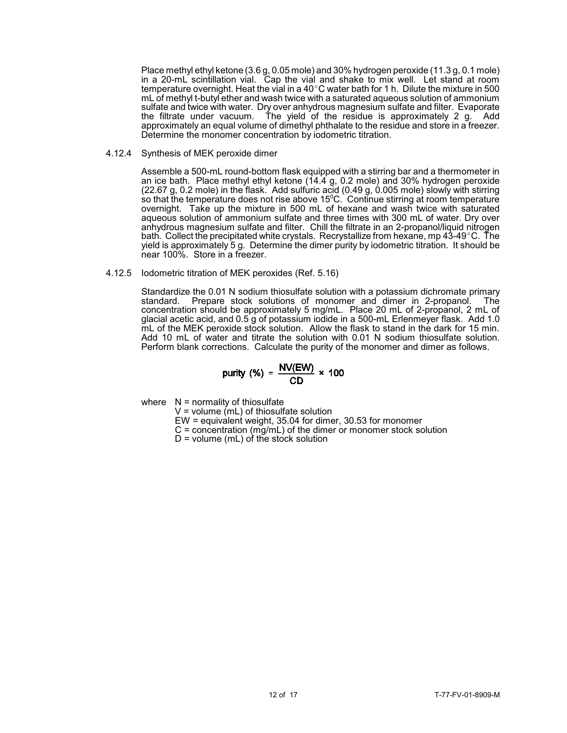Place methyl ethyl ketone (3.6 g, 0.05 mole) and 30% hydrogen peroxide (11.3 g, 0.1 mole) in a 20-mL scintillation vial. Cap the vial and shake to mix well. Let stand at room temperature overnight. Heat the vial in a 40 $^{\circ}$ C water bath for 1 h. Dilute the mixture in 500 mL of methyl t-butyl ether and wash twice with a saturated aqueous solution of ammonium sulfate and twice with water. Dry over anhydrous magnesium sulfate and filter. Evaporate the filtrate under vacuum. The yield of the residue is approximately 2 g. Add approximately an equal volume of dimethyl phthalate to the residue and store in a freezer. Determine the monomer concentration by iodometric titration.

4.12.4 Synthesis of MEK peroxide dimer

Assemble a 500-mL round-bottom flask equipped with a stirring bar and a thermometer in an ice bath. Place methyl ethyl ketone (14.4 g, 0.2 mole) and 30% hydrogen peroxide (22.67 g, 0.2 mole) in the flask. Add sulfuric acid (0.49 g, 0.005 mole) slowly with stirring so that the temperature does not rise above 15 $^{\rm o}$ C.` Continue stirring at room temperature overnight. Take up the mixture in 500 mL of hexane and wash twice with saturated aqueous solution of ammonium sulfate and three times with 300 mL of water. Dry over anhydrous magnesium sulfate and filter. Chill the filtrate in an 2-propanol/liquid nitrogen bath. Collect the precipitated white crystals. Recrystallize from hexane, mp  $43-49^{\circ}$ C. The yield is approximately 5 g. Determine the dimer purity by iodometric titration. It should be near 100%. Store in a freezer.

### 4.12.5 Iodometric titration of MEK peroxides (Ref. 5.16)

Standardize the 0.01 N sodium thiosulfate solution with a potassium dichromate primary standard. Prepare stock solutions of monomer and dimer in 2-propanol. The concentration should be approximately 5 mg/mL. Place 20 mL of 2-propanol, 2 mL of glacial acetic acid, and 0.5 g of potassium iodide in a 500-mL Erlenmeyer flask. Add 1.0 mL of the MEK peroxide stock solution. Allow the flask to stand in the dark for 15 min. Add 10 mL of water and titrate the solution with 0.01 N sodium thiosulfate solution. Perform blank corrections. Calculate the purity of the monomer and dimer as follows.

$$
purity (%) = \frac{NV(EW)}{CD} \times 100
$$

where  $N =$  normality of thiosulfate

 $V =$  volume (mL) of thiosulfate solution

EW = equivalent weight, 35.04 for dimer, 30.53 for monomer

C = concentration (mg/mL) of the dimer or monomer stock solution

 $D =$  volume (mL) of the stock solution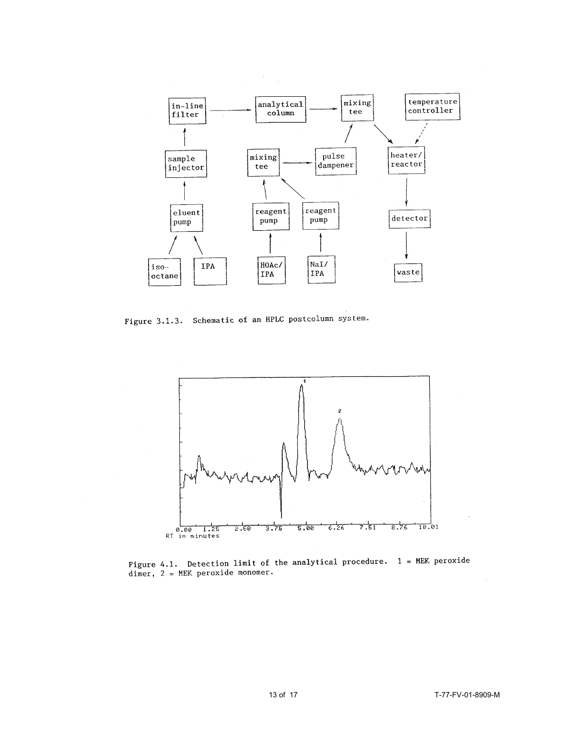

Figure 3.1.3. Schematic of an HPLC postcolumn system.



Figure 4.1. Detection limit of the analytical procedure.  $1 = MEK$  peroxide dimer,  $2 = MEK$  peroxide monomer.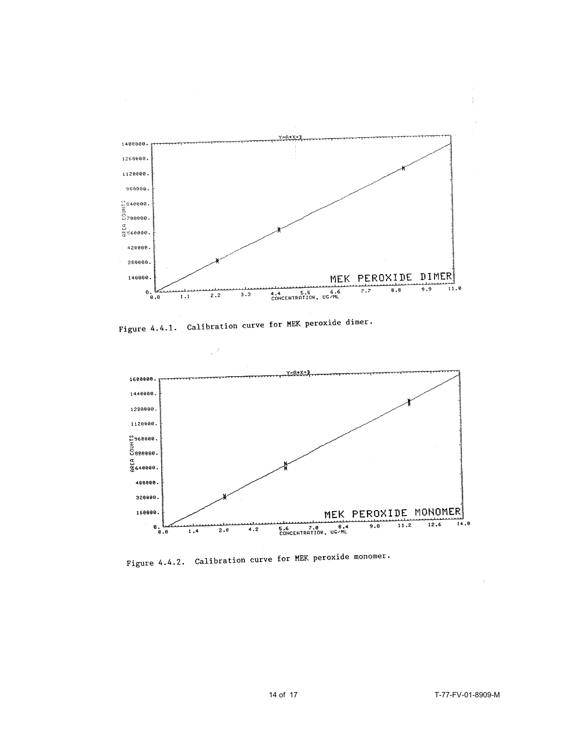

Figure 4.4.1. Calibration curve for MEK peroxide dimer.



Figure 4.4.2. Calibration curve for MEK peroxide monomer.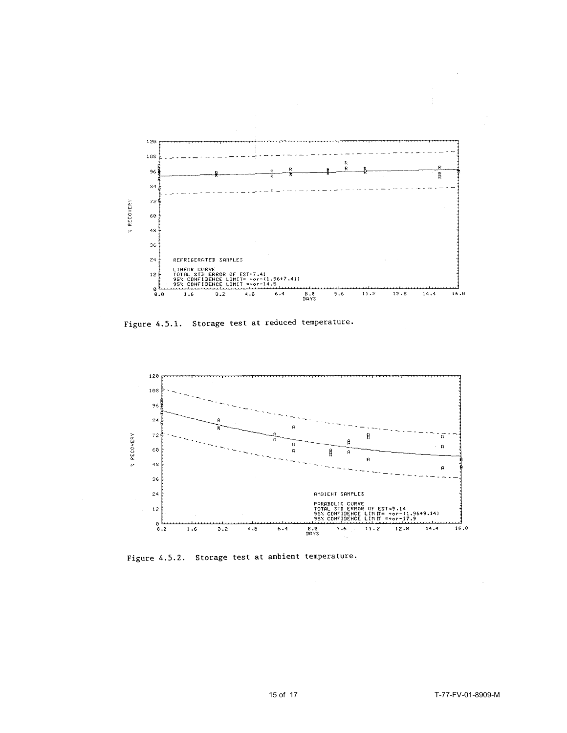

Figure 4.5.1. Storage test at reduced temperature.



Figure 4.5.2. Storage test at ambient temperature.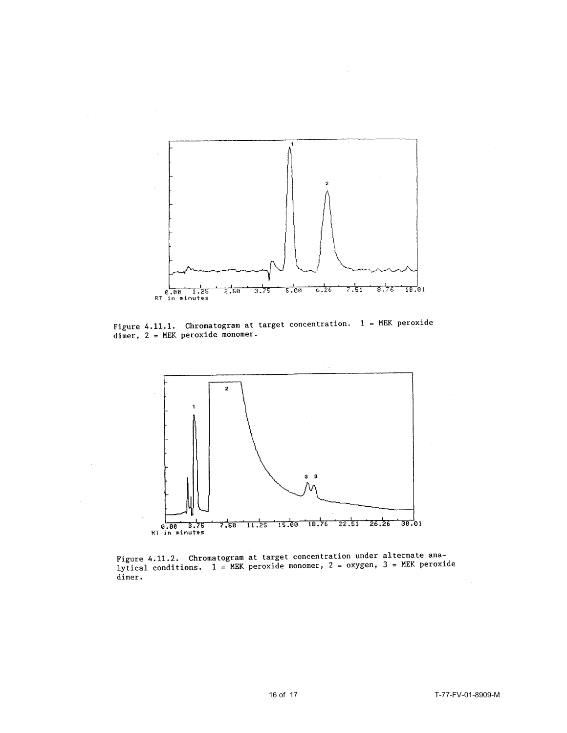

 $\sim$ 

Figure 4.11.1. Chromatogram at target concentration.  $1 = MEK$  peroxide dimer,  $2 = MEK$  peroxide monomer.



Figure 4.11.2. Chromatogram at target concentration under alternate ana-<br>lytical conditions.  $1 = \text{MEK}$  peroxide monomer,  $2 = \text{oxygen}$ ,  $3 = \text{MEK}$  peroxide dimer.